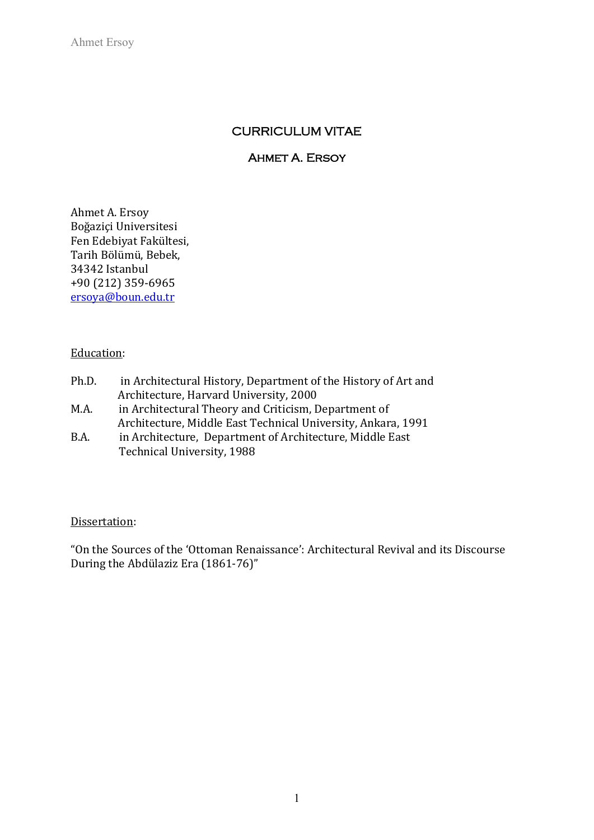Ahmet Ersoy

# CURRICULUM VITAE

### AHMET A. ERSOY

Ahmet A. Ersoy Boğaziçi Universitesi Fen Edebiyat Fakültesi, Tarih Bölümü, Bebek, 34342 Istanbul +90 (212) 359-6965 [ersoya@boun.edu.tr](mailto:ersoya@boun.edu.tr)

# Education:

| Ph.D. | in Architectural History, Department of the History of Art and |
|-------|----------------------------------------------------------------|
|       | Architecture, Harvard University, 2000                         |
| M.A.  | in Architectural Theory and Criticism, Department of           |
|       | Architecture, Middle East Technical University, Ankara, 1991   |
| B.A.  | in Architecture, Department of Architecture, Middle East       |

B.A. in Architecture, Department of Architecture, Middle East Technical University, 1988

### Dissertation:

"On the Sources of the 'Ottoman Renaissance': Architectural Revival and its Discourse During the Abdülaziz Era (1861-76)"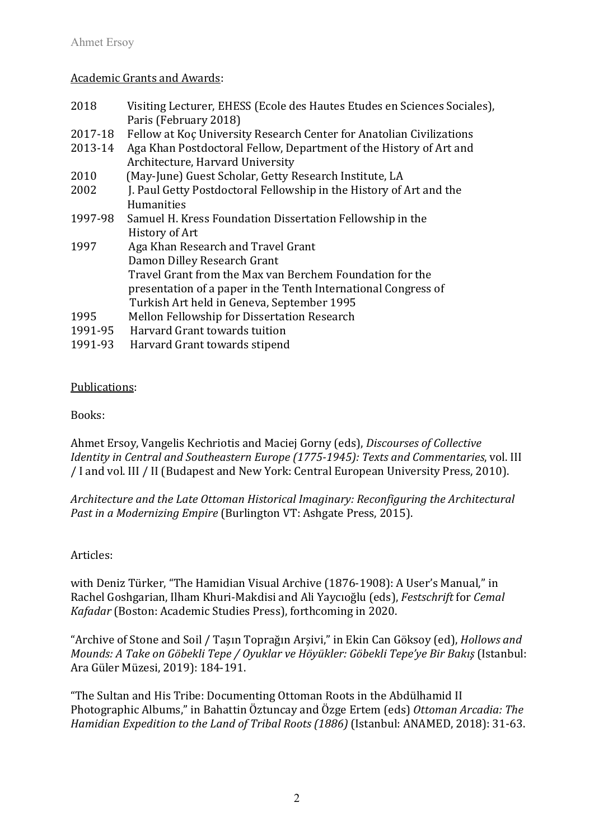### Academic Grants and Awards:

| 2018    | Visiting Lecturer, EHESS (Ecole des Hautes Etudes en Sciences Sociales), |
|---------|--------------------------------------------------------------------------|
|         | Paris (February 2018)                                                    |
| 2017-18 | Fellow at Koç University Research Center for Anatolian Civilizations     |
| 2013-14 | Aga Khan Postdoctoral Fellow, Department of the History of Art and       |
|         | Architecture, Harvard University                                         |
| 2010    | (May-June) Guest Scholar, Getty Research Institute, LA                   |
| 2002    | J. Paul Getty Postdoctoral Fellowship in the History of Art and the      |
|         | <b>Humanities</b>                                                        |
| 1997-98 | Samuel H. Kress Foundation Dissertation Fellowship in the                |
|         | History of Art                                                           |
| 1997    | Aga Khan Research and Travel Grant                                       |
|         | Damon Dilley Research Grant                                              |
|         | Travel Grant from the Max van Berchem Foundation for the                 |
|         | presentation of a paper in the Tenth International Congress of           |
|         | Turkish Art held in Geneva, September 1995                               |
| 1995    | Mellon Fellowship for Dissertation Research                              |
| 1991-95 | Harvard Grant towards tuition                                            |
| 1991-93 | Harvard Grant towards stipend                                            |

### Publications:

Books:

Ahmet Ersoy, Vangelis Kechriotis and Maciej Gorny (eds), *Discourses of Collective Identity in Central and Southeastern Europe (1775-1945): Texts and Commentaries*, vol. III / I and vol. III / II (Budapest and New York: Central European University Press, 2010).

*Architecture and the Late Ottoman Historical Imaginary: Reconfiguring the Architectural Past in a Modernizing Empire* (Burlington VT: Ashgate Press, 2015).

# Articles:

with Deniz Türker, "The Hamidian Visual Archive (1876-1908): A User's Manual," in Rachel Goshgarian, Ilham Khuri-Makdisi and Ali Yaycıoğlu (eds), *Festschrift* for *Cemal Kafadar* (Boston: Academic Studies Press), forthcoming in 2020.

"Archive of Stone and Soil / Taşın Toprağın Arşivi," in Ekin Can Göksoy (ed), *Hollows and Mounds: A Take on Göbekli Tepe / Oyuklar ve Höyükler: Göbekli Tepe'ye Bir Bakış* (Istanbul: Ara Güler Müzesi, 2019): 184-191.

"The Sultan and His Tribe: Documenting Ottoman Roots in the Abdülhamid II Photographic Albums," in Bahattin Öztuncay and Özge Ertem (eds) *Ottoman Arcadia: The Hamidian Expedition to the Land of Tribal Roots (1886)* (Istanbul: ANAMED, 2018): 31-63.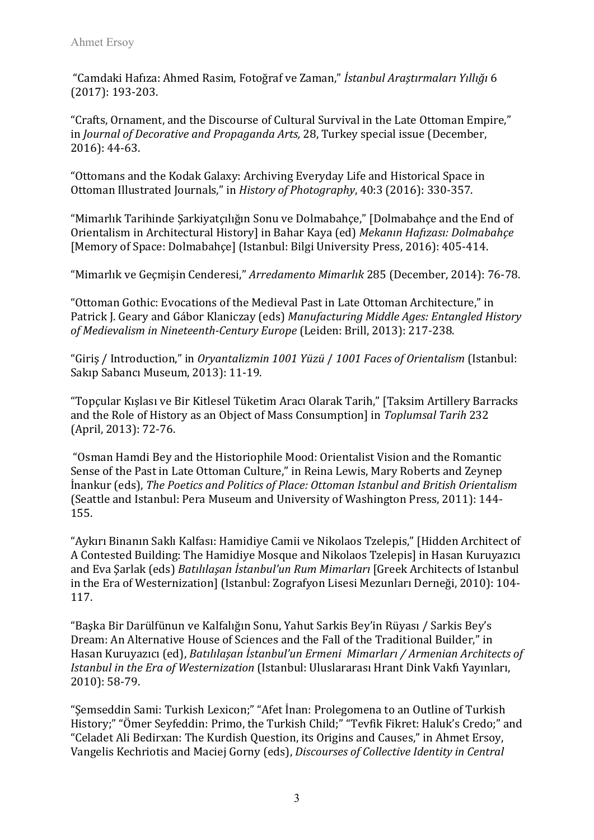"Camdaki Hafıza: Ahmed Rasim, Fotoğraf ve Zaman," *İstanbul Araştırmaları Yıllığı* 6 (2017): 193-203.

"Crafts, Ornament, and the Discourse of Cultural Survival in the Late Ottoman Empire," in *Journal of Decorative and Propaganda Arts,* 28, Turkey special issue (December, 2016): 44-63.

"Ottomans and the Kodak Galaxy: Archiving Everyday Life and Historical Space in Ottoman Illustrated Journals," in *History of Photography*, 40:3 (2016): 330-357.

"Mimarlık Tarihinde Şarkiyatçılığın Sonu ve Dolmabahçe," [Dolmabahçe and the End of Orientalism in Architectural History] in Bahar Kaya (ed) *Mekanın Hafızası: Dolmabahçe*  [Memory of Space: Dolmabahçe] (Istanbul: Bilgi University Press, 2016): 405-414.

"Mimarlık ve Geçmişin Cenderesi," *Arredamento Mimarlık* 285 (December, 2014): 76-78.

"Ottoman Gothic: Evocations of the Medieval Past in Late Ottoman Architecture," in Patrick J. Geary and Gábor Klaniczay (eds) *Manufacturing Middle Ages: Entangled History of Medievalism in Nineteenth-Century Europe* (Leiden: Brill, 2013): 217-238.

"Giriş / Introduction," in *Oryantalizmin 1001 Yüzü* / *1001 Faces of Orientalism* (Istanbul: Sakıp Sabancı Museum, 2013): 11-19.

"Topçular Kışlası ve Bir Kitlesel Tüketim Aracı Olarak Tarih," [Taksim Artillery Barracks and the Role of History as an Object of Mass Consumption] in *Toplumsal Tarih* 232 (April, 2013): 72-76.

"Osman Hamdi Bey and the Historiophile Mood: Orientalist Vision and the Romantic Sense of the Past in Late Ottoman Culture," in Reina Lewis, Mary Roberts and Zeynep İnankur (eds), *The Poetics and Politics of Place: Ottoman Istanbul and British Orientalism*  (Seattle and Istanbul: Pera Museum and University of Washington Press, 2011): 144- 155.

"Aykırı Binanın Saklı Kalfası: Hamidiye Camii ve Nikolaos Tzelepis," [Hidden Architect of A Contested Building: The Hamidiye Mosque and Nikolaos Tzelepis] in Hasan Kuruyazıcı and Eva Şarlak (eds) *Batılılaşan İstanbul'un Rum Mimarları* [Greek Architects of Istanbul in the Era of Westernization] (Istanbul: Zografyon Lisesi Mezunları Derneği, 2010): 104- 117.

"Başka Bir Darülfünun ve Kalfalığın Sonu, Yahut Sarkis Bey'in Rüyası / Sarkis Bey's Dream: An Alternative House of Sciences and the Fall of the Traditional Builder," in Hasan Kuruyazıcı (ed), *Batılılaşan İstanbul'un Ermeni Mimarları / Armenian Architects of Istanbul in the Era of Westernization* (Istanbul: Uluslararası Hrant Dink Vakfı Yayınları, 2010): 58-79.

"Şemseddin Sami: Turkish Lexicon;" "Afet İnan: Prolegomena to an Outline of Turkish History;" "Ömer Seyfeddin: Primo, the Turkish Child;" "Tevfik Fikret: Haluk's Credo;" and "Celadet Ali Bedirxan: The Kurdish Question, its Origins and Causes," in Ahmet Ersoy, Vangelis Kechriotis and Maciej Gorny (eds), *Discourses of Collective Identity in Central*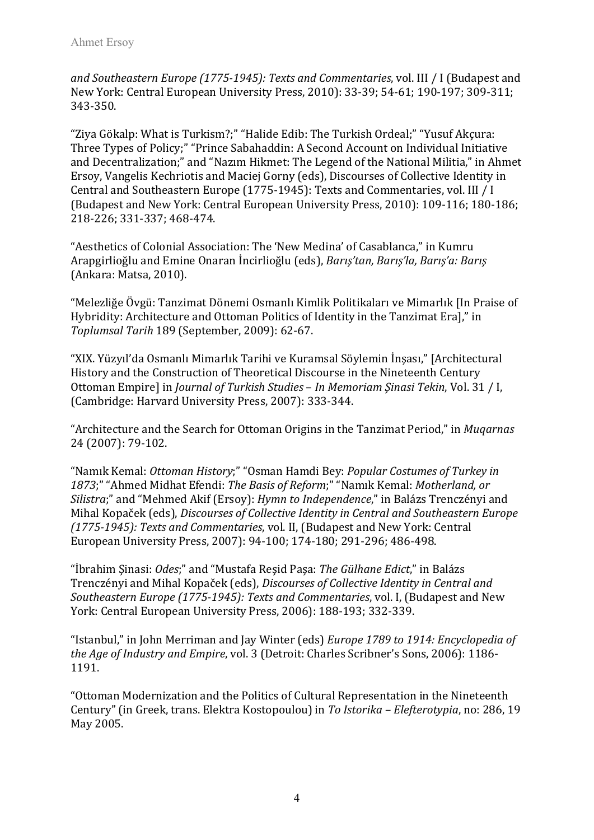*and Southeastern Europe (1775-1945): Texts and Commentaries*, vol. III / I (Budapest and New York: Central European University Press, 2010): 33-39; 54-61; 190-197; 309-311; 343-350.

"Ziya Gökalp: What is Turkism?;" "Halide Edib: The Turkish Ordeal;" "Yusuf Akçura: Three Types of Policy;" "Prince Sabahaddin: A Second Account on Individual Initiative and Decentralization;" and "Nazım Hikmet: The Legend of the National Militia," in Ahmet Ersoy, Vangelis Kechriotis and Maciej Gorny (eds), Discourses of Collective Identity in Central and Southeastern Europe (1775-1945): Texts and Commentaries, vol. III / I (Budapest and New York: Central European University Press, 2010): 109-116; 180-186; 218-226; 331-337; 468-474.

"Aesthetics of Colonial Association: The 'New Medina' of Casablanca," in Kumru Arapgirlioğlu and Emine Onaran İncirlioğlu (eds), *Barış'tan, Barış'la, Barış'a: Barış* (Ankara: Matsa, 2010).

"Melezliğe Övgü: Tanzimat Dönemi Osmanlı Kimlik Politikaları ve Mimarlık [In Praise of Hybridity: Architecture and Ottoman Politics of Identity in the Tanzimat Era]," in *Toplumsal Tarih* 189 (September, 2009): 62-67.

"XIX. Yüzyıl'da Osmanlı Mimarlık Tarihi ve Kuramsal Söylemin İnşası," [Architectural History and the Construction of Theoretical Discourse in the Nineteenth Century Ottoman Empire] in *Journal of Turkish Studies* – *In Memoriam Şinasi Tekin*, Vol. 31 / I, (Cambridge: Harvard University Press, 2007): 333-344.

"Architecture and the Search for Ottoman Origins in the Tanzimat Period," in *Muqarnas* 24 (2007): 79-102.

"Namık Kemal: *Ottoman History*;" "Osman Hamdi Bey: *Popular Costumes of Turkey in 1873*;" "Ahmed Midhat Efendi: *The Basis of Reform*;" "Namık Kemal: *Motherland, or Silistra*;" and "Mehmed Akif (Ersoy): *Hymn to Independence*," in Balázs Trenczényi and Mihal Kopaček (eds), *Discourses of Collective Identity in Central and Southeastern Europe (1775-1945): Texts and Commentaries*, vol. II, (Budapest and New York: Central European University Press, 2007): 94-100; 174-180; 291-296; 486-498.

"İbrahim Şinasi: *Odes*;" and "Mustafa Reşid Paşa: *The Gülhane Edict*," in Balázs Trenczényi and Mihal Kopaček (eds), *Discourses of Collective Identity in Central and Southeastern Europe (1775-1945): Texts and Commentaries*, vol. I, (Budapest and New York: Central European University Press, 2006): 188-193; 332-339.

"Istanbul," in John Merriman and Jay Winter (eds) *Europe 1789 to 1914: Encyclopedia of the Age of Industry and Empire*, vol. 3 (Detroit: Charles Scribner's Sons, 2006): 1186- 1191.

"Ottoman Modernization and the Politics of Cultural Representation in the Nineteenth Century" (in Greek, trans. Elektra Kostopoulou) in *To Istorika – Elefterotypia*, no: 286, 19 May 2005.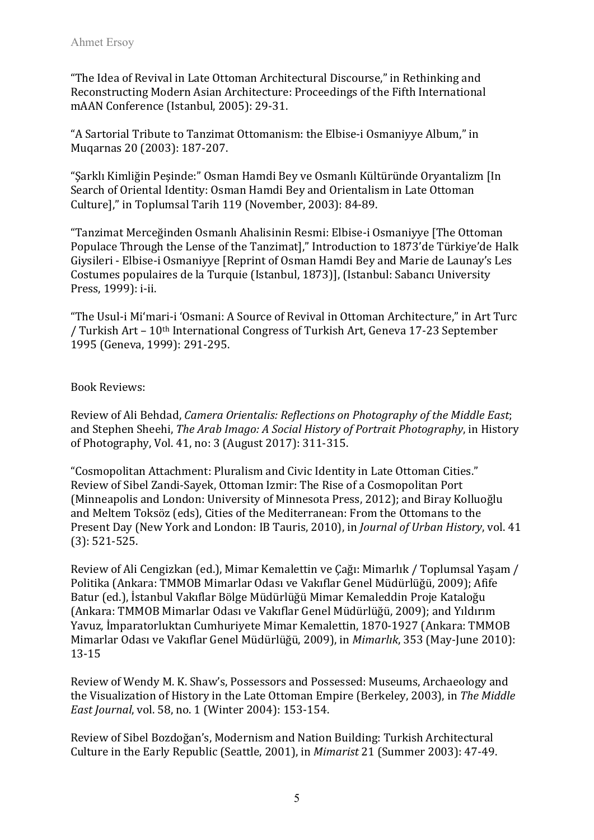"The Idea of Revival in Late Ottoman Architectural Discourse," in Rethinking and Reconstructing Modern Asian Architecture: Proceedings of the Fifth International mAAN Conference (Istanbul, 2005): 29-31.

"A Sartorial Tribute to Tanzimat Ottomanism: the Elbise-i Osmaniyye Album," in Muqarnas 20 (2003): 187-207.

"Şarklı Kimliğin Peşinde:" Osman Hamdi Bey ve Osmanlı Kültüründe Oryantalizm [In Search of Oriental Identity: Osman Hamdi Bey and Orientalism in Late Ottoman Culture]," in Toplumsal Tarih 119 (November, 2003): 84-89.

"Tanzimat Merceğinden Osmanlı Ahalisinin Resmi: Elbise-i Osmaniyye [The Ottoman Populace Through the Lense of the Tanzimat]," Introduction to 1873'de Türkiye'de Halk Giysileri - Elbise-i Osmaniyye [Reprint of Osman Hamdi Bey and Marie de Launay's Les Costumes populaires de la Turquie (Istanbul, 1873)], (Istanbul: Sabancı University Press, 1999): i-ii.

"The Usul-i Mi'mari-i 'Osmani: A Source of Revival in Ottoman Architecture," in Art Turc / Turkish Art – 10th International Congress of Turkish Art, Geneva 17-23 September 1995 (Geneva, 1999): 291-295.

### Book Reviews:

Review of Ali Behdad, *Camera Orientalis: Reflections on Photography of the Middle East*; and Stephen Sheehi, *The Arab Imago: A Social History of Portrait Photography*, in History of Photography, Vol. 41, no: 3 (August 2017): 311-315.

"Cosmopolitan Attachment: Pluralism and Civic Identity in Late Ottoman Cities." Review of Sibel Zandi-Sayek, Ottoman Izmir: The Rise of a Cosmopolitan Port (Minneapolis and London: University of Minnesota Press, 2012); and Biray Kolluoğlu and Meltem Toksöz (eds), Cities of the Mediterranean: From the Ottomans to the Present Day (New York and London: IB Tauris, 2010), in *Journal of Urban History*, vol. 41 (3): 521-525.

Review of Ali Cengizkan (ed.), Mimar Kemalettin ve Çağı: Mimarlık / Toplumsal Yaşam / Politika (Ankara: TMMOB Mimarlar Odası ve Vakıflar Genel Müdürlüğü, 2009); Afife Batur (ed.), İstanbul Vakıflar Bölge Müdürlüğü Mimar Kemaleddin Proje Kataloğu (Ankara: TMMOB Mimarlar Odası ve Vakıflar Genel Müdürlüğü, 2009); and Yıldırım Yavuz, İmparatorluktan Cumhuriyete Mimar Kemalettin, 1870-1927 (Ankara: TMMOB Mimarlar Odası ve Vakıflar Genel Müdürlüğü, 2009), in *Mimarlık*, 353 (May-June 2010): 13-15

Review of Wendy M. K. Shaw's, Possessors and Possessed: Museums, Archaeology and the Visualization of History in the Late Ottoman Empire (Berkeley, 2003), in *The Middle East Journal*, vol. 58, no. 1 (Winter 2004): 153-154.

Review of Sibel Bozdoğan's, Modernism and Nation Building: Turkish Architectural Culture in the Early Republic (Seattle, 2001), in *Mimarist* 21 (Summer 2003): 47-49.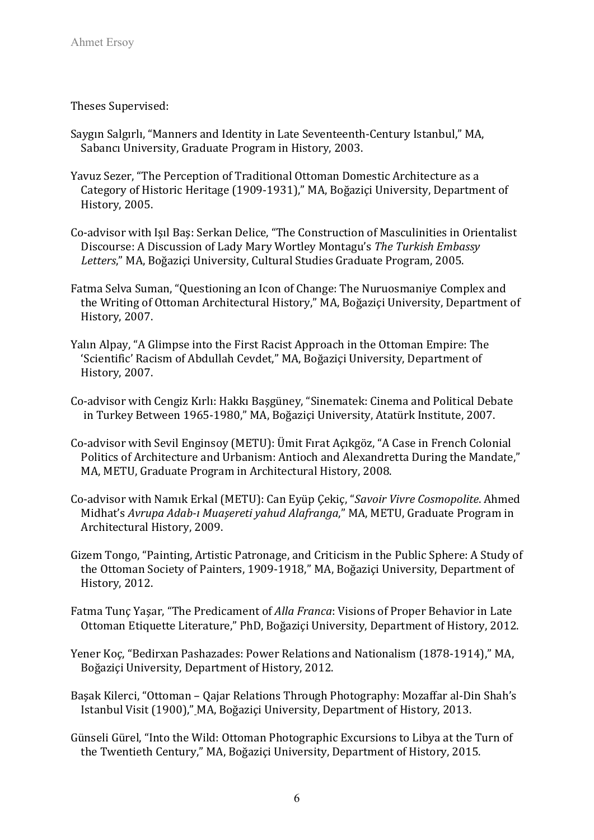Theses Supervised:

- Saygın Salgırlı, "Manners and Identity in Late Seventeenth-Century Istanbul," MA, Sabancı University, Graduate Program in History, 2003.
- Yavuz Sezer, "The Perception of Traditional Ottoman Domestic Architecture as a Category of Historic Heritage (1909-1931)," MA, Boğaziçi University, Department of History, 2005.
- Co-advisor with Işıl Baş: Serkan Delice, "The Construction of Masculinities in Orientalist Discourse: A Discussion of Lady Mary Wortley Montagu's *The Turkish Embassy Letters*," MA, Boğaziçi University, Cultural Studies Graduate Program, 2005.
- Fatma Selva Suman, "Questioning an Icon of Change: The Nuruosmaniye Complex and the Writing of Ottoman Architectural History," MA, Boğaziçi University, Department of History, 2007.
- Yalın Alpay, "A Glimpse into the First Racist Approach in the Ottoman Empire: The 'Scientific' Racism of Abdullah Cevdet," MA, Boğaziçi University, Department of History, 2007.
- Co-advisor with Cengiz Kırlı: Hakkı Başgüney, "Sinematek: Cinema and Political Debate in Turkey Between 1965-1980," MA, Boğaziçi University, Atatürk Institute, 2007.
- Co-advisor with Sevil Enginsoy (METU): Ümit Fırat Açıkgöz, "A Case in French Colonial Politics of Architecture and Urbanism: Antioch and Alexandretta During the Mandate," MA, METU, Graduate Program in Architectural History, 2008.
- Co-advisor with Namık Erkal (METU): Can Eyüp Çekiç, "*Savoir Vivre Cosmopolite*. Ahmed Midhat's *Avrupa Adab-ı Muaşereti yahud Alafranga*," MA, METU, Graduate Program in Architectural History, 2009.
- Gizem Tongo, "Painting, Artistic Patronage, and Criticism in the Public Sphere: A Study of the Ottoman Society of Painters, 1909-1918," MA, Boğaziçi University, Department of History, 2012.
- Fatma Tunç Yaşar, "The Predicament of *Alla Franca*: Visions of Proper Behavior in Late Ottoman Etiquette Literature," PhD, Boğaziçi University, Department of History, 2012.
- Yener Koç, "Bedirxan Pashazades: Power Relations and Nationalism (1878-1914)," MA, Boğaziçi University, Department of History, 2012.
- Başak Kilerci, "Ottoman Qajar Relations Through Photography: Mozaffar al-Din Shah's Istanbul Visit (1900)," MA, Boğaziçi University, Department of History, 2013.
- Günseli Gürel, "Into the Wild: Ottoman Photographic Excursions to Libya at the Turn of the Twentieth Century," MA, Boğaziçi University, Department of History, 2015.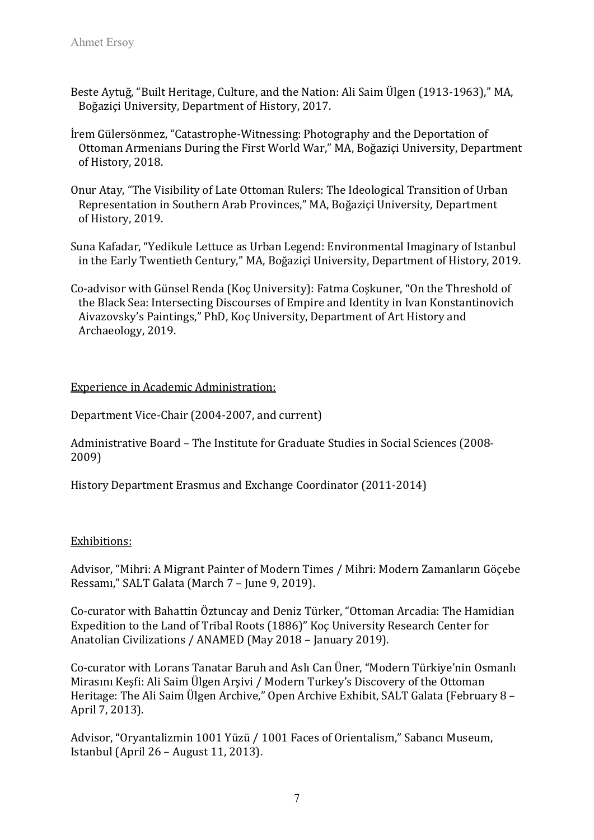- Beste Aytuğ, "Built Heritage, Culture, and the Nation: Ali Saim Ülgen (1913-1963)," MA, Boğaziçi University, Department of History, 2017.
- İrem Gülersönmez, "Catastrophe-Witnessing: Photography and the Deportation of Ottoman Armenians During the First World War," MA, Boğaziçi University, Department of History, 2018.
- Onur Atay, "The Visibility of Late Ottoman Rulers: The Ideological Transition of Urban Representation in Southern Arab Provinces," MA, Boğaziçi University, Department of History, 2019.
- Suna Kafadar, "Yedikule Lettuce as Urban Legend: Environmental Imaginary of Istanbul in the Early Twentieth Century," MA, Boğaziçi University, Department of History, 2019.
- Co-advisor with Günsel Renda (Koç University): Fatma Coşkuner, "On the Threshold of the Black Sea: Intersecting Discourses of Empire and Identity in Ivan Konstantinovich Aivazovsky's Paintings," PhD, Koç University, Department of Art History and Archaeology, 2019.

### Experience in Academic Administration:

Department Vice-Chair (2004-2007, and current)

Administrative Board – The Institute for Graduate Studies in Social Sciences (2008- 2009)

History Department Erasmus and Exchange Coordinator (2011-2014)

### Exhibitions:

Advisor, "Mihri: A Migrant Painter of Modern Times / Mihri: Modern Zamanların Göçebe Ressamı," SALT Galata (March 7 – June 9, 2019).

Co-curator with Bahattin Öztuncay and Deniz Türker, "Ottoman Arcadia: The Hamidian Expedition to the Land of Tribal Roots (1886)" Koç University Research Center for Anatolian Civilizations / ANAMED (May 2018 – January 2019).

Co-curator with Lorans Tanatar Baruh and Aslı Can Üner, "Modern Türkiye'nin Osmanlı Mirasını Keşfi: Ali Saim Ülgen Arşivi / Modern Turkey's Discovery of the Ottoman Heritage: The Ali Saim Ülgen Archive," Open Archive Exhibit, SALT Galata (February 8 – April 7, 2013).

Advisor, "Oryantalizmin 1001 Yüzü / 1001 Faces of Orientalism," Sabancı Museum, Istanbul (April 26 – August 11, 2013).